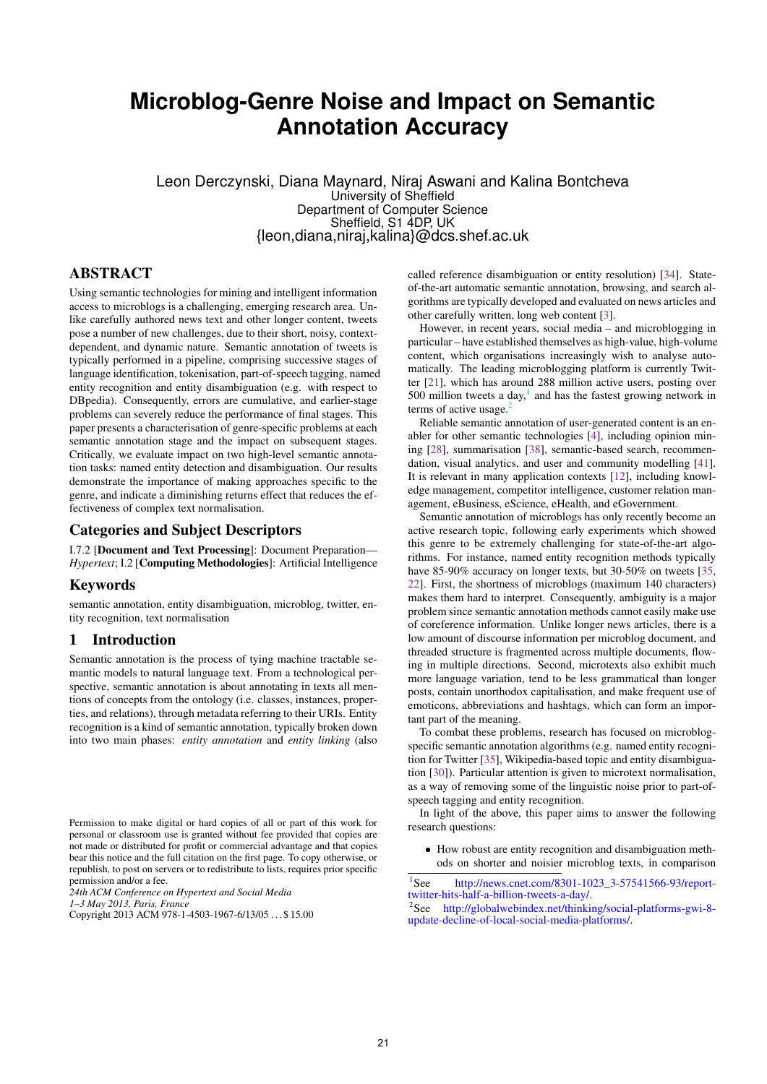# **Microblog-Genre Noise and Impact on Semantic Annotation Accuracy**

Leon Derczynski, Diana Maynard, Niraj Aswani and Kalina Bontcheva University of Sheffield Department of Computer Science Sheffield, S1 4DP, UK {leon,diana,niraj,kalina}@dcs.shef.ac.uk

# ABSTRACT

Using semantic technologies for mining and intelligent information access to microblogs is a challenging, emerging research area. Unlike carefully authored news text and other longer content, tweets pose a number of new challenges, due to their short, noisy, contextdependent, and dynamic nature. Semantic annotation of tweets is typically performed in a pipeline, comprising successive stages of language identification, tokenisation, part-of-speech tagging, named entity recognition and entity disambiguation (e.g. with respect to DBpedia). Consequently, errors are cumulative, and earlier-stage problems can severely reduce the performance of final stages. This paper presents a characterisation of genre-specific problems at each semantic annotation stage and the impact on subsequent stages. Critically, we evaluate impact on two high-level semantic annotation tasks: named entity detection and disambiguation. Our results demonstrate the importance of making approaches specific to the genre, and indicate a diminishing returns effect that reduces the effectiveness of complex text normalisation.

# Categories and Subject Descriptors

I.7.2 [Document and Text Processing]: Document Preparation— *Hypertext*; I.2 [Computing Methodologies]: Artificial Intelligence

## Keywords

semantic annotation, entity disambiguation, microblog, twitter, entity recognition, text normalisation

# 1 Introduction

Semantic annotation is the process of tying machine tractable semantic models to natural language text. From a technological perspective, semantic annotation is about annotating in texts all mentions of concepts from the ontology (i.e. classes, instances, properties, and relations), through metadata referring to their URIs. Entity recognition is a kind of semantic annotation, typically broken down into two main phases: *entity annotation* and *entity linking* (also

*24th ACM Conference on Hypertext and Social Media*

*1–3 May 2013, Paris, France*

called reference disambiguation or entity resolution) [\[34\]](#page-9-0). Stateof-the-art automatic semantic annotation, browsing, and search algorithms are typically developed and evaluated on news articles and other carefully written, long web content [\[3\]](#page-8-0).

However, in recent years, social media – and microblogging in particular – have established themselves as high-value, high-volume content, which organisations increasingly wish to analyse automatically. The leading microblogging platform is currently Twitter [\[21\]](#page-9-1), which has around 288 million active users, posting over 500 million tweets a day, $<sup>1</sup>$  $<sup>1</sup>$  $<sup>1</sup>$  and has the fastest growing network in</sup> terms of active usage. $<sup>2</sup>$  $<sup>2</sup>$  $<sup>2</sup>$ </sup>

Reliable semantic annotation of user-generated content is an enabler for other semantic technologies [\[4\]](#page-8-1), including opinion mining [\[28\]](#page-9-2), summarisation [\[38\]](#page-9-3), semantic-based search, recommendation, visual analytics, and user and community modelling [\[41\]](#page-9-4). It is relevant in many application contexts [\[12\]](#page-9-5), including knowledge management, competitor intelligence, customer relation management, eBusiness, eScience, eHealth, and eGovernment.

Semantic annotation of microblogs has only recently become an active research topic, following early experiments which showed this genre to be extremely challenging for state-of-the-art algorithms. For instance, named entity recognition methods typically have 85-90% accuracy on longer texts, but 30-50% on tweets [\[35,](#page-9-6) [22\]](#page-9-7). First, the shortness of microblogs (maximum 140 characters) makes them hard to interpret. Consequently, ambiguity is a major problem since semantic annotation methods cannot easily make use of coreference information. Unlike longer news articles, there is a low amount of discourse information per microblog document, and threaded structure is fragmented across multiple documents, flowing in multiple directions. Second, microtexts also exhibit much more language variation, tend to be less grammatical than longer posts, contain unorthodox capitalisation, and make frequent use of emoticons, abbreviations and hashtags, which can form an important part of the meaning.

To combat these problems, research has focused on microblogspecific semantic annotation algorithms (e.g. named entity recognition for Twitter [\[35\]](#page-9-6), Wikipedia-based topic and entity disambiguation [\[30\]](#page-9-8)). Particular attention is given to microtext normalisation, as a way of removing some of the linguistic noise prior to part-ofspeech tagging and entity recognition.

In light of the above, this paper aims to answer the following research questions:

• How robust are entity recognition and disambiguation methods on shorter and noisier microblog texts, in comparison

Permission to make digital or hard copies of all or part of this work for personal or classroom use is granted without fee provided that copies are not made or distributed for profit or commercial advantage and that copies bear this notice and the full citation on the first page. To copy otherwise, or republish, to post on servers or to redistribute to lists, requires prior specific permission and/or a fee.

Copyright 2013 ACM 978-1-4503-1967-6/13/05 . . . \$ 15.00

<span id="page-0-0"></span> $1$ See [http://news.cnet.com/8301-1023\\_3-57541566-93/report](http://news.cnet.com/8301-1023_3-57541566-93/report-twitter-hits-half-a-billion-tweets-a-day/)[twitter-hits-half-a-billion-tweets-a-day/.](http://news.cnet.com/8301-1023_3-57541566-93/report-twitter-hits-half-a-billion-tweets-a-day/)

<span id="page-0-1"></span><sup>2</sup> See [http://globalwebindex.net/thinking/social-platforms-gwi-8](http://globalwebindex.net/thinking/social-platforms-gwi-8-update-decline-of-local-social-media-platforms/) [update-decline-of-local-social-media-platforms/.](http://globalwebindex.net/thinking/social-platforms-gwi-8-update-decline-of-local-social-media-platforms/)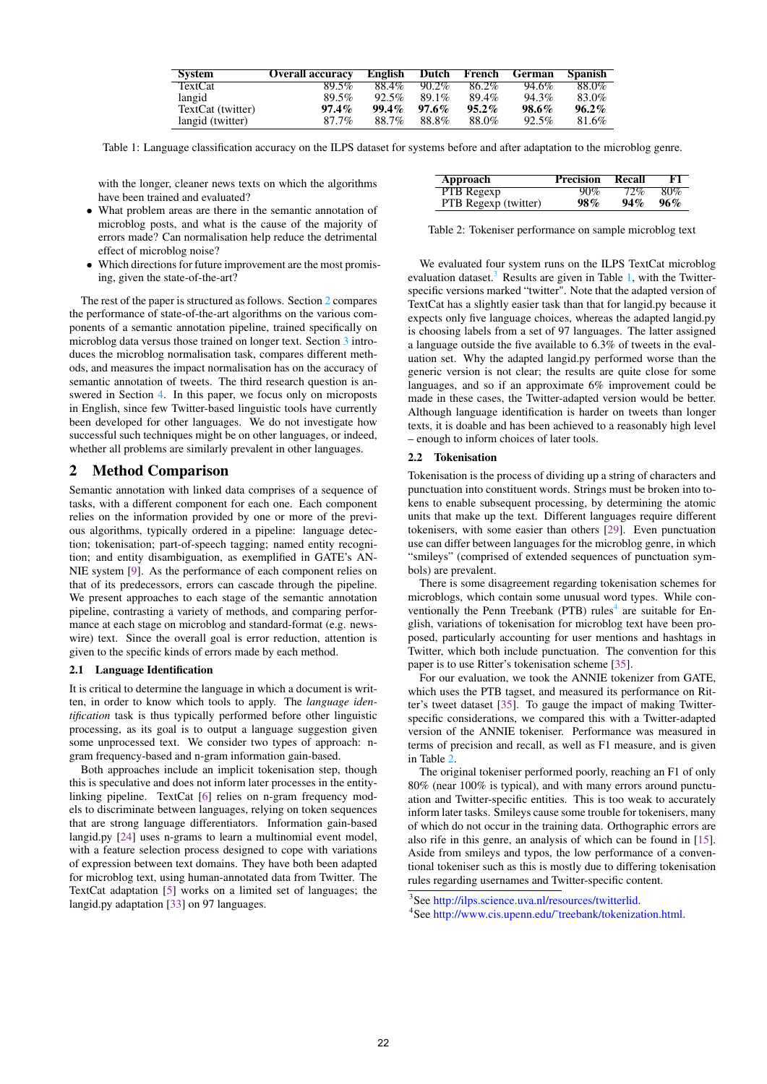| <b>System</b>     | <b>Overall accuracy</b> | English  | Dutch    | French   | German | Spanish  |
|-------------------|-------------------------|----------|----------|----------|--------|----------|
| <b>TextCat</b>    | 89.5%                   | 88.4%    | $90.2\%$ | 86.2%    | 94.6%  | 88.0%    |
| langid            | 89.5%                   | $92.5\%$ | $89.1\%$ | 89.4%    | 94.3%  | 83.0%    |
| TextCat (twitter) | $97.4\%$                | $99.4\%$ | $97.6\%$ | $95.2\%$ | 98.6%  | $96.2\%$ |
| langid (twitter)  | 87.7%                   | 88.7%    | 88.8%    | 88.0%    | 92.5%  | 81.6%    |

<span id="page-1-2"></span>Table 1: Language classification accuracy on the ILPS dataset for systems before and after adaptation to the microblog genre.

with the longer, cleaner news texts on which the algorithms have been trained and evaluated?

- What problem areas are there in the semantic annotation of microblog posts, and what is the cause of the majority of errors made? Can normalisation help reduce the detrimental effect of microblog noise?
- Which directions for future improvement are the most promising, given the state-of-the-art?

The rest of the paper is structured as follows. Section [2](#page-1-0) compares the performance of state-of-the-art algorithms on the various components of a semantic annotation pipeline, trained specifically on microblog data versus those trained on longer text. Section [3](#page-6-0) introduces the microblog normalisation task, compares different methods, and measures the impact normalisation has on the accuracy of semantic annotation of tweets. The third research question is answered in Section [4.](#page-7-0) In this paper, we focus only on microposts in English, since few Twitter-based linguistic tools have currently been developed for other languages. We do not investigate how successful such techniques might be on other languages, or indeed, whether all problems are similarly prevalent in other languages.

# <span id="page-1-0"></span>2 Method Comparison

Semantic annotation with linked data comprises of a sequence of tasks, with a different component for each one. Each component relies on the information provided by one or more of the previous algorithms, typically ordered in a pipeline: language detection; tokenisation; part-of-speech tagging; named entity recognition; and entity disambiguation, as exemplified in GATE's AN-NIE system [\[9\]](#page-9-9). As the performance of each component relies on that of its predecessors, errors can cascade through the pipeline. We present approaches to each stage of the semantic annotation pipeline, contrasting a variety of methods, and comparing performance at each stage on microblog and standard-format (e.g. newswire) text. Since the overall goal is error reduction, attention is given to the specific kinds of errors made by each method.

## <span id="page-1-5"></span>2.1 Language Identification

It is critical to determine the language in which a document is written, in order to know which tools to apply. The *language identification* task is thus typically performed before other linguistic processing, as its goal is to output a language suggestion given some unprocessed text. We consider two types of approach: ngram frequency-based and n-gram information gain-based.

Both approaches include an implicit tokenisation step, though this is speculative and does not inform later processes in the entitylinking pipeline. TextCat [\[6\]](#page-9-10) relies on n-gram frequency models to discriminate between languages, relying on token sequences that are strong language differentiators. Information gain-based langid.py [\[24\]](#page-9-11) uses n-grams to learn a multinomial event model, with a feature selection process designed to cope with variations of expression between text domains. They have both been adapted for microblog text, using human-annotated data from Twitter. The TextCat adaptation [\[5\]](#page-9-12) works on a limited set of languages; the langid.py adaptation [\[33\]](#page-9-13) on 97 languages.

<span id="page-1-4"></span>

| Approach             | <b>Precision Recall</b> |     | F1  |
|----------------------|-------------------------|-----|-----|
| <b>PTB</b> Regexp    | 90%                     | 72% | 80% |
| PTB Regexp (twitter) | 98%                     | 94% | 96% |

Table 2: Tokeniser performance on sample microblog text

We evaluated four system runs on the ILPS TextCat microblog evaluation dataset.<sup>[3](#page-1-1)</sup> Results are given in Table [1,](#page-1-2) with the Twitterspecific versions marked "twitter". Note that the adapted version of TextCat has a slightly easier task than that for langid.py because it expects only five language choices, whereas the adapted langid.py is choosing labels from a set of 97 languages. The latter assigned a language outside the five available to 6.3% of tweets in the evaluation set. Why the adapted langid.py performed worse than the generic version is not clear; the results are quite close for some languages, and so if an approximate 6% improvement could be made in these cases, the Twitter-adapted version would be better. Although language identification is harder on tweets than longer texts, it is doable and has been achieved to a reasonably high level – enough to inform choices of later tools.

## 2.2 Tokenisation

Tokenisation is the process of dividing up a string of characters and punctuation into constituent words. Strings must be broken into tokens to enable subsequent processing, by determining the atomic units that make up the text. Different languages require different tokenisers, with some easier than others [\[29\]](#page-9-14). Even punctuation use can differ between languages for the microblog genre, in which "smileys" (comprised of extended sequences of punctuation symbols) are prevalent.

There is some disagreement regarding tokenisation schemes for microblogs, which contain some unusual word types. While con-ventionally the Penn Treebank (PTB) rules<sup>[4](#page-1-3)</sup> are suitable for English, variations of tokenisation for microblog text have been proposed, particularly accounting for user mentions and hashtags in Twitter, which both include punctuation. The convention for this paper is to use Ritter's tokenisation scheme [\[35\]](#page-9-6).

For our evaluation, we took the ANNIE tokenizer from GATE, which uses the PTB tagset, and measured its performance on Ritter's tweet dataset [\[35\]](#page-9-6). To gauge the impact of making Twitterspecific considerations, we compared this with a Twitter-adapted version of the ANNIE tokeniser. Performance was measured in terms of precision and recall, as well as F1 measure, and is given in Table [2.](#page-1-4)

The original tokeniser performed poorly, reaching an F1 of only 80% (near 100% is typical), and with many errors around punctuation and Twitter-specific entities. This is too weak to accurately inform later tasks. Smileys cause some trouble for tokenisers, many of which do not occur in the training data. Orthographic errors are also rife in this genre, an analysis of which can be found in [\[15\]](#page-9-15). Aside from smileys and typos, the low performance of a conventional tokeniser such as this is mostly due to differing tokenisation rules regarding usernames and Twitter-specific content.

<span id="page-1-1"></span><sup>3</sup> See [http://ilps.science.uva.nl/resources/twitterlid.](http://ilps.science.uva.nl/resources/twitterlid)

<span id="page-1-3"></span><sup>4</sup> See [http://www.cis.upenn.edu/˜treebank/tokenization.html.](http://www.cis.upenn.edu/~treebank/tokenization.html)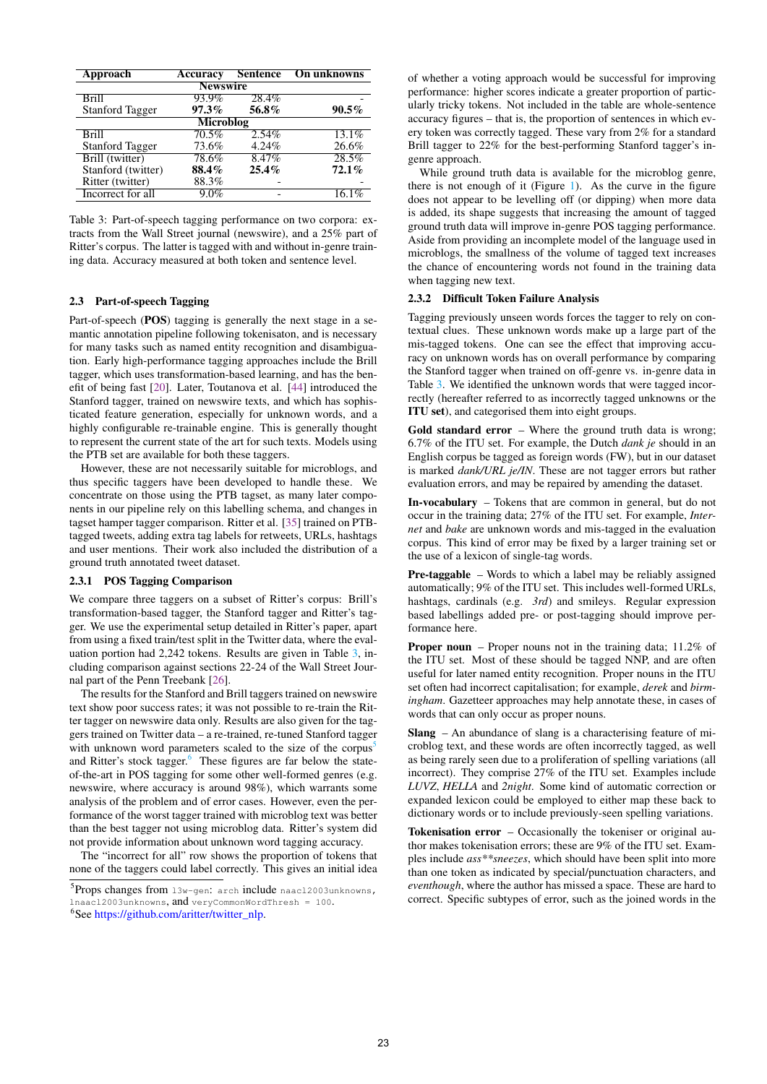<span id="page-2-0"></span>

| Approach               | Accuracy        | <b>Sentence</b> | On unknowns         |  |  |  |
|------------------------|-----------------|-----------------|---------------------|--|--|--|
|                        | <b>Newswire</b> |                 |                     |  |  |  |
| Brill                  | 93.9%           | 28.4%           |                     |  |  |  |
| <b>Stanford Tagger</b> | $97.3\%$        | 56.8%           | $90.5\%$            |  |  |  |
|                        | Microblog       |                 |                     |  |  |  |
| Brill                  | 70.5%           | $2.54\%$        | $13.\overline{1\%}$ |  |  |  |
| <b>Stanford Tagger</b> | 73.6%           | 4.24%           | 26.6%               |  |  |  |
| Brill (twitter)        | 78.6%           | 8.47%           | 28.5%               |  |  |  |
| Stanford (twitter)     | 88.4%           | 25.4%           | 72.1%               |  |  |  |
| Ritter (twitter)       | 88.3%           |                 |                     |  |  |  |
| Incorrect for all      | $9.0\%$         |                 |                     |  |  |  |

Table 3: Part-of-speech tagging performance on two corpora: extracts from the Wall Street journal (newswire), and a 25% part of Ritter's corpus. The latter is tagged with and without in-genre training data. Accuracy measured at both token and sentence level.

#### <span id="page-2-3"></span>2.3 Part-of-speech Tagging

Part-of-speech (POS) tagging is generally the next stage in a semantic annotation pipeline following tokenisaton, and is necessary for many tasks such as named entity recognition and disambiguation. Early high-performance tagging approaches include the Brill tagger, which uses transformation-based learning, and has the benefit of being fast [\[20\]](#page-9-16). Later, Toutanova et al. [\[44\]](#page-9-17) introduced the Stanford tagger, trained on newswire texts, and which has sophisticated feature generation, especially for unknown words, and a highly configurable re-trainable engine. This is generally thought to represent the current state of the art for such texts. Models using the PTB set are available for both these taggers.

However, these are not necessarily suitable for microblogs, and thus specific taggers have been developed to handle these. We concentrate on those using the PTB tagset, as many later components in our pipeline rely on this labelling schema, and changes in tagset hamper tagger comparison. Ritter et al. [\[35\]](#page-9-6) trained on PTBtagged tweets, adding extra tag labels for retweets, URLs, hashtags and user mentions. Their work also included the distribution of a ground truth annotated tweet dataset.

#### 2.3.1 POS Tagging Comparison

We compare three taggers on a subset of Ritter's corpus: Brill's transformation-based tagger, the Stanford tagger and Ritter's tagger. We use the experimental setup detailed in Ritter's paper, apart from using a fixed train/test split in the Twitter data, where the evaluation portion had 2,242 tokens. Results are given in Table [3,](#page-2-0) including comparison against sections 22-24 of the Wall Street Journal part of the Penn Treebank [\[26\]](#page-9-18).

The results for the Stanford and Brill taggers trained on newswire text show poor success rates; it was not possible to re-train the Ritter tagger on newswire data only. Results are also given for the taggers trained on Twitter data – a re-trained, re-tuned Stanford tagger with unknown word parameters scaled to the size of the corpus<sup>[5](#page-2-1)</sup> and Ritter's stock tagger. $6$  These figures are far below the stateof-the-art in POS tagging for some other well-formed genres (e.g. newswire, where accuracy is around 98%), which warrants some analysis of the problem and of error cases. However, even the performance of the worst tagger trained with microblog text was better than the best tagger not using microblog data. Ritter's system did not provide information about unknown word tagging accuracy.

The "incorrect for all" row shows the proportion of tokens that none of the taggers could label correctly. This gives an initial idea

<span id="page-2-1"></span>5 Props changes from l3w-gen: arch include naacl2003unknowns, lnaacl2003unknowns, and veryCommonWordThresh = 100.

<span id="page-2-2"></span>6 See [https://github.com/aritter/twitter\\_nlp.](https://github.com/aritter/twitter_nlp)

of whether a voting approach would be successful for improving performance: higher scores indicate a greater proportion of particularly tricky tokens. Not included in the table are whole-sentence accuracy figures – that is, the proportion of sentences in which every token was correctly tagged. These vary from 2% for a standard Brill tagger to 22% for the best-performing Stanford tagger's ingenre approach.

While ground truth data is available for the microblog genre, there is not enough of it (Figure [1\)](#page-3-0). As the curve in the figure does not appear to be levelling off (or dipping) when more data is added, its shape suggests that increasing the amount of tagged ground truth data will improve in-genre POS tagging performance. Aside from providing an incomplete model of the language used in microblogs, the smallness of the volume of tagged text increases the chance of encountering words not found in the training data when tagging new text.

#### 2.3.2 Difficult Token Failure Analysis

Tagging previously unseen words forces the tagger to rely on contextual clues. These unknown words make up a large part of the mis-tagged tokens. One can see the effect that improving accuracy on unknown words has on overall performance by comparing the Stanford tagger when trained on off-genre vs. in-genre data in Table [3.](#page-2-0) We identified the unknown words that were tagged incorrectly (hereafter referred to as incorrectly tagged unknowns or the ITU set), and categorised them into eight groups.

Gold standard error – Where the ground truth data is wrong; 6.7% of the ITU set. For example, the Dutch *dank je* should in an English corpus be tagged as foreign words (FW), but in our dataset is marked *dank/URL je/IN*. These are not tagger errors but rather evaluation errors, and may be repaired by amending the dataset.

In-vocabulary – Tokens that are common in general, but do not occur in the training data; 27% of the ITU set. For example, *Internet* and *bake* are unknown words and mis-tagged in the evaluation corpus. This kind of error may be fixed by a larger training set or the use of a lexicon of single-tag words.

Pre-taggable – Words to which a label may be reliably assigned automatically; 9% of the ITU set. This includes well-formed URLs, hashtags, cardinals (e.g. *3rd*) and smileys. Regular expression based labellings added pre- or post-tagging should improve performance here.

**Proper noun** – Proper nouns not in the training data; 11.2% of the ITU set. Most of these should be tagged NNP, and are often useful for later named entity recognition. Proper nouns in the ITU set often had incorrect capitalisation; for example, *derek* and *birmingham*. Gazetteer approaches may help annotate these, in cases of words that can only occur as proper nouns.

Slang – An abundance of slang is a characterising feature of microblog text, and these words are often incorrectly tagged, as well as being rarely seen due to a proliferation of spelling variations (all incorrect). They comprise 27% of the ITU set. Examples include *LUVZ*, *HELLA* and *2night*. Some kind of automatic correction or expanded lexicon could be employed to either map these back to dictionary words or to include previously-seen spelling variations.

Tokenisation error - Occasionally the tokeniser or original author makes tokenisation errors; these are 9% of the ITU set. Examples include *ass\*\*sneezes*, which should have been split into more than one token as indicated by special/punctuation characters, and *eventhough*, where the author has missed a space. These are hard to correct. Specific subtypes of error, such as the joined words in the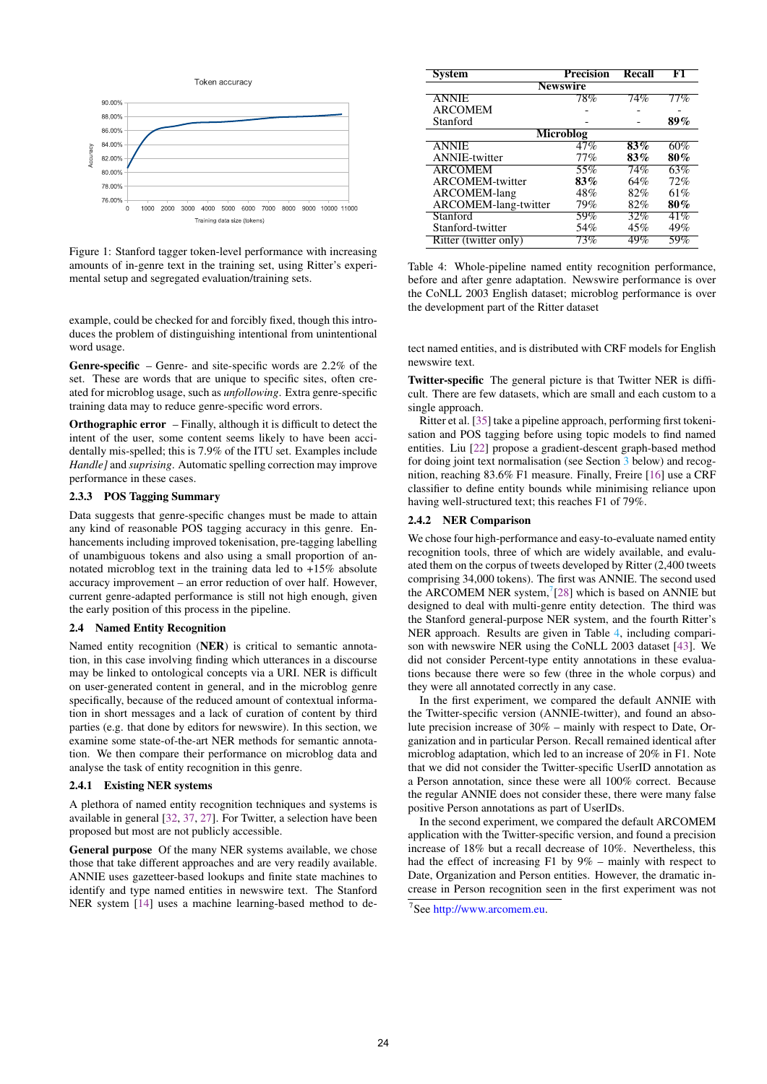<span id="page-3-0"></span>

Figure 1: Stanford tagger token-level performance with increasing amounts of in-genre text in the training set, using Ritter's experimental setup and segregated evaluation/training sets.

example, could be checked for and forcibly fixed, though this introduces the problem of distinguishing intentional from unintentional word usage.

Genre-specific – Genre- and site-specific words are 2.2% of the set. These are words that are unique to specific sites, often created for microblog usage, such as *unfollowing*. Extra genre-specific training data may to reduce genre-specific word errors.

Orthographic error – Finally, although it is difficult to detect the intent of the user, some content seems likely to have been accidentally mis-spelled; this is 7.9% of the ITU set. Examples include *Handle]* and *suprising*. Automatic spelling correction may improve performance in these cases.

#### 2.3.3 POS Tagging Summary

Data suggests that genre-specific changes must be made to attain any kind of reasonable POS tagging accuracy in this genre. Enhancements including improved tokenisation, pre-tagging labelling of unambiguous tokens and also using a small proportion of annotated microblog text in the training data led to +15% absolute accuracy improvement – an error reduction of over half. However, current genre-adapted performance is still not high enough, given the early position of this process in the pipeline.

#### <span id="page-3-3"></span>2.4 Named Entity Recognition

Named entity recognition (NER) is critical to semantic annotation, in this case involving finding which utterances in a discourse may be linked to ontological concepts via a URI. NER is difficult on user-generated content in general, and in the microblog genre specifically, because of the reduced amount of contextual information in short messages and a lack of curation of content by third parties (e.g. that done by editors for newswire). In this section, we examine some state-of-the-art NER methods for semantic annotation. We then compare their performance on microblog data and analyse the task of entity recognition in this genre.

#### 2.4.1 Existing NER systems

A plethora of named entity recognition techniques and systems is available in general [\[32,](#page-9-19) [37,](#page-9-20) [27\]](#page-9-21). For Twitter, a selection have been proposed but most are not publicly accessible.

General purpose Of the many NER systems available, we chose those that take different approaches and are very readily available. ANNIE uses gazetteer-based lookups and finite state machines to identify and type named entities in newswire text. The Stanford NER system [\[14\]](#page-9-22) uses a machine learning-based method to de-

<span id="page-3-2"></span>

| System                | Precision | <b>Recall</b> | F1     |  |  |
|-----------------------|-----------|---------------|--------|--|--|
|                       | Newswire  |               |        |  |  |
| <b>ANNIE</b>          | 78%       | $74\%$        | $77\%$ |  |  |
| <b>ARCOMEM</b>        |           |               |        |  |  |
| Stanford              |           |               | 89%    |  |  |
| Microblog             |           |               |        |  |  |
| <b>ANNIE</b>          | 47%       | $83\%$        | 60%    |  |  |
| <b>ANNIE-twitter</b>  | 77%       | 83%           | 80%    |  |  |
| <b>ARCOMEM</b>        | 55%       | 74%           | 63%    |  |  |
| ARCOMEM-twitter       | 83%       | 64%           | 72%    |  |  |
| <b>ARCOMEM-lang</b>   | 48%       | 82%           | 61%    |  |  |
| ARCOMEM-lang-twitter  | 79%       | 82%           | 80%    |  |  |
| Stanford              | 59%       | 32%           | 41%    |  |  |
| Stanford-twitter      | 54%       | 45%           | 49%    |  |  |
| Ritter (twitter only) | 73%       | 49%           | 59%    |  |  |

Table 4: Whole-pipeline named entity recognition performance, before and after genre adaptation. Newswire performance is over the CoNLL 2003 English dataset; microblog performance is over the development part of the Ritter dataset

tect named entities, and is distributed with CRF models for English newswire text.

Twitter-specific The general picture is that Twitter NER is difficult. There are few datasets, which are small and each custom to a single approach.

Ritter et al. [\[35\]](#page-9-6) take a pipeline approach, performing first tokenisation and POS tagging before using topic models to find named entities. Liu [\[22\]](#page-9-7) propose a gradient-descent graph-based method for doing joint text normalisation (see Section [3](#page-6-0) below) and recognition, reaching 83.6% F1 measure. Finally, Freire [\[16\]](#page-9-23) use a CRF classifier to define entity bounds while minimising reliance upon having well-structured text; this reaches F1 of 79%.

### 2.4.2 NER Comparison

We chose four high-performance and easy-to-evaluate named entity recognition tools, three of which are widely available, and evaluated them on the corpus of tweets developed by Ritter (2,400 tweets comprising 34,000 tokens). The first was ANNIE. The second used the ARCOMEM NER system, $(28)$  which is based on ANNIE but designed to deal with multi-genre entity detection. The third was the Stanford general-purpose NER system, and the fourth Ritter's NER approach. Results are given in Table [4,](#page-3-2) including comparison with newswire NER using the CoNLL 2003 dataset [\[43\]](#page-9-24). We did not consider Percent-type entity annotations in these evaluations because there were so few (three in the whole corpus) and they were all annotated correctly in any case.

In the first experiment, we compared the default ANNIE with the Twitter-specific version (ANNIE-twitter), and found an absolute precision increase of 30% – mainly with respect to Date, Organization and in particular Person. Recall remained identical after microblog adaptation, which led to an increase of 20% in F1. Note that we did not consider the Twitter-specific UserID annotation as a Person annotation, since these were all 100% correct. Because the regular ANNIE does not consider these, there were many false positive Person annotations as part of UserIDs.

In the second experiment, we compared the default ARCOMEM application with the Twitter-specific version, and found a precision increase of 18% but a recall decrease of 10%. Nevertheless, this had the effect of increasing F1 by 9% – mainly with respect to Date, Organization and Person entities. However, the dramatic increase in Person recognition seen in the first experiment was not

<span id="page-3-1"></span><sup>7</sup> See [http://www.arcomem.eu.](http://www.arcomem.eu)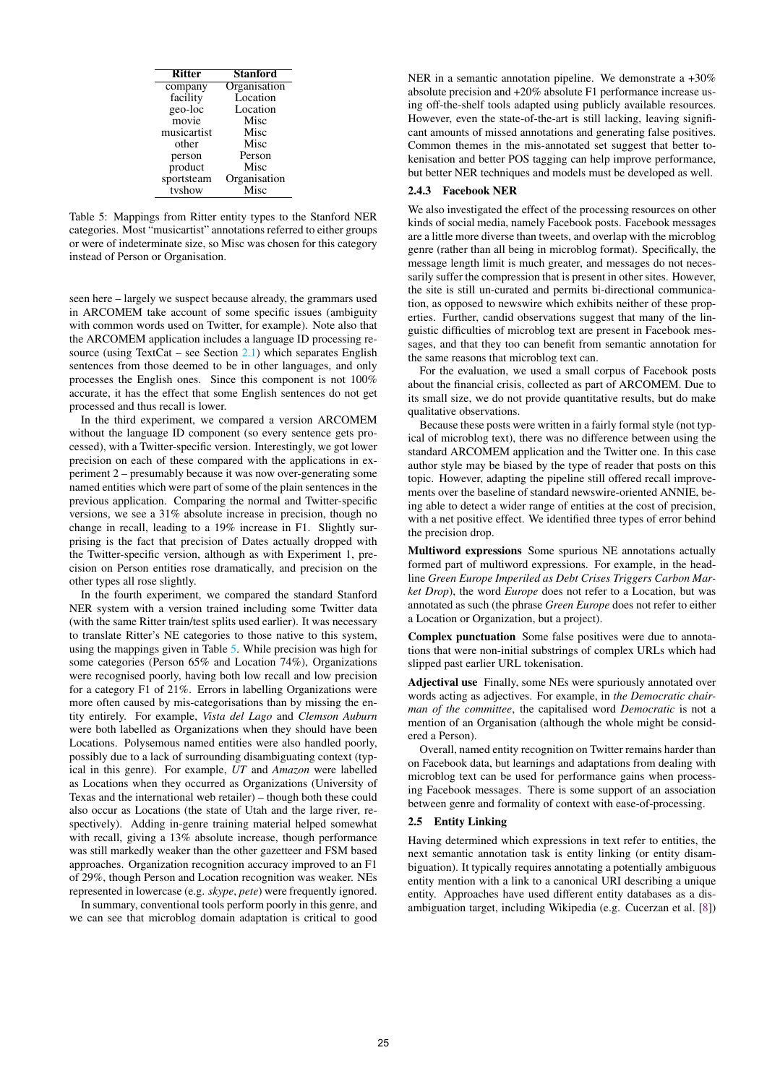<span id="page-4-0"></span>

| <b>Ritter</b> | Stanford     |
|---------------|--------------|
| company       | Organisation |
| facility      | Location     |
| geo-loc       | Location     |
| movie         | Misc         |
| musicartist   | Misc         |
| other         | Misc         |
| person        | Person       |
| product       | Misc         |
| sportsteam    | Organisation |
| tyshow        | Misc         |

Table 5: Mappings from Ritter entity types to the Stanford NER categories. Most "musicartist" annotations referred to either groups or were of indeterminate size, so Misc was chosen for this category instead of Person or Organisation.

seen here – largely we suspect because already, the grammars used in ARCOMEM take account of some specific issues (ambiguity with common words used on Twitter, for example). Note also that the ARCOMEM application includes a language ID processing resource (using TextCat – see Section  $2.1$ ) which separates English sentences from those deemed to be in other languages, and only processes the English ones. Since this component is not 100% accurate, it has the effect that some English sentences do not get processed and thus recall is lower.

In the third experiment, we compared a version ARCOMEM without the language ID component (so every sentence gets processed), with a Twitter-specific version. Interestingly, we got lower precision on each of these compared with the applications in experiment 2 – presumably because it was now over-generating some named entities which were part of some of the plain sentences in the previous application. Comparing the normal and Twitter-specific versions, we see a 31% absolute increase in precision, though no change in recall, leading to a 19% increase in F1. Slightly surprising is the fact that precision of Dates actually dropped with the Twitter-specific version, although as with Experiment 1, precision on Person entities rose dramatically, and precision on the other types all rose slightly.

In the fourth experiment, we compared the standard Stanford NER system with a version trained including some Twitter data (with the same Ritter train/test splits used earlier). It was necessary to translate Ritter's NE categories to those native to this system, using the mappings given in Table [5.](#page-4-0) While precision was high for some categories (Person 65% and Location 74%), Organizations were recognised poorly, having both low recall and low precision for a category F1 of 21%. Errors in labelling Organizations were more often caused by mis-categorisations than by missing the entity entirely. For example, *Vista del Lago* and *Clemson Auburn* were both labelled as Organizations when they should have been Locations. Polysemous named entities were also handled poorly, possibly due to a lack of surrounding disambiguating context (typical in this genre). For example, *UT* and *Amazon* were labelled as Locations when they occurred as Organizations (University of Texas and the international web retailer) – though both these could also occur as Locations (the state of Utah and the large river, respectively). Adding in-genre training material helped somewhat with recall, giving a 13% absolute increase, though performance was still markedly weaker than the other gazetteer and FSM based approaches. Organization recognition accuracy improved to an F1 of 29%, though Person and Location recognition was weaker. NEs represented in lowercase (e.g. *skype*, *pete*) were frequently ignored.

In summary, conventional tools perform poorly in this genre, and we can see that microblog domain adaptation is critical to good NER in a semantic annotation pipeline. We demonstrate a  $+30\%$ absolute precision and +20% absolute F1 performance increase using off-the-shelf tools adapted using publicly available resources. However, even the state-of-the-art is still lacking, leaving significant amounts of missed annotations and generating false positives. Common themes in the mis-annotated set suggest that better tokenisation and better POS tagging can help improve performance, but better NER techniques and models must be developed as well.

## 2.4.3 Facebook NER

We also investigated the effect of the processing resources on other kinds of social media, namely Facebook posts. Facebook messages are a little more diverse than tweets, and overlap with the microblog genre (rather than all being in microblog format). Specifically, the message length limit is much greater, and messages do not necessarily suffer the compression that is present in other sites. However, the site is still un-curated and permits bi-directional communication, as opposed to newswire which exhibits neither of these properties. Further, candid observations suggest that many of the linguistic difficulties of microblog text are present in Facebook messages, and that they too can benefit from semantic annotation for the same reasons that microblog text can.

For the evaluation, we used a small corpus of Facebook posts about the financial crisis, collected as part of ARCOMEM. Due to its small size, we do not provide quantitative results, but do make qualitative observations.

Because these posts were written in a fairly formal style (not typical of microblog text), there was no difference between using the standard ARCOMEM application and the Twitter one. In this case author style may be biased by the type of reader that posts on this topic. However, adapting the pipeline still offered recall improvements over the baseline of standard newswire-oriented ANNIE, being able to detect a wider range of entities at the cost of precision, with a net positive effect. We identified three types of error behind the precision drop.

Multiword expressions Some spurious NE annotations actually formed part of multiword expressions. For example, in the headline *Green Europe Imperiled as Debt Crises Triggers Carbon Market Drop*), the word *Europe* does not refer to a Location, but was annotated as such (the phrase *Green Europe* does not refer to either a Location or Organization, but a project).

Complex punctuation Some false positives were due to annotations that were non-initial substrings of complex URLs which had slipped past earlier URL tokenisation.

Adjectival use Finally, some NEs were spuriously annotated over words acting as adjectives. For example, in *the Democratic chairman of the committee*, the capitalised word *Democratic* is not a mention of an Organisation (although the whole might be considered a Person).

Overall, named entity recognition on Twitter remains harder than on Facebook data, but learnings and adaptations from dealing with microblog text can be used for performance gains when processing Facebook messages. There is some support of an association between genre and formality of context with ease-of-processing.

## 2.5 Entity Linking

Having determined which expressions in text refer to entities, the next semantic annotation task is entity linking (or entity disambiguation). It typically requires annotating a potentially ambiguous entity mention with a link to a canonical URI describing a unique entity. Approaches have used different entity databases as a disambiguation target, including Wikipedia (e.g. Cucerzan et al. [\[8\]](#page-9-25))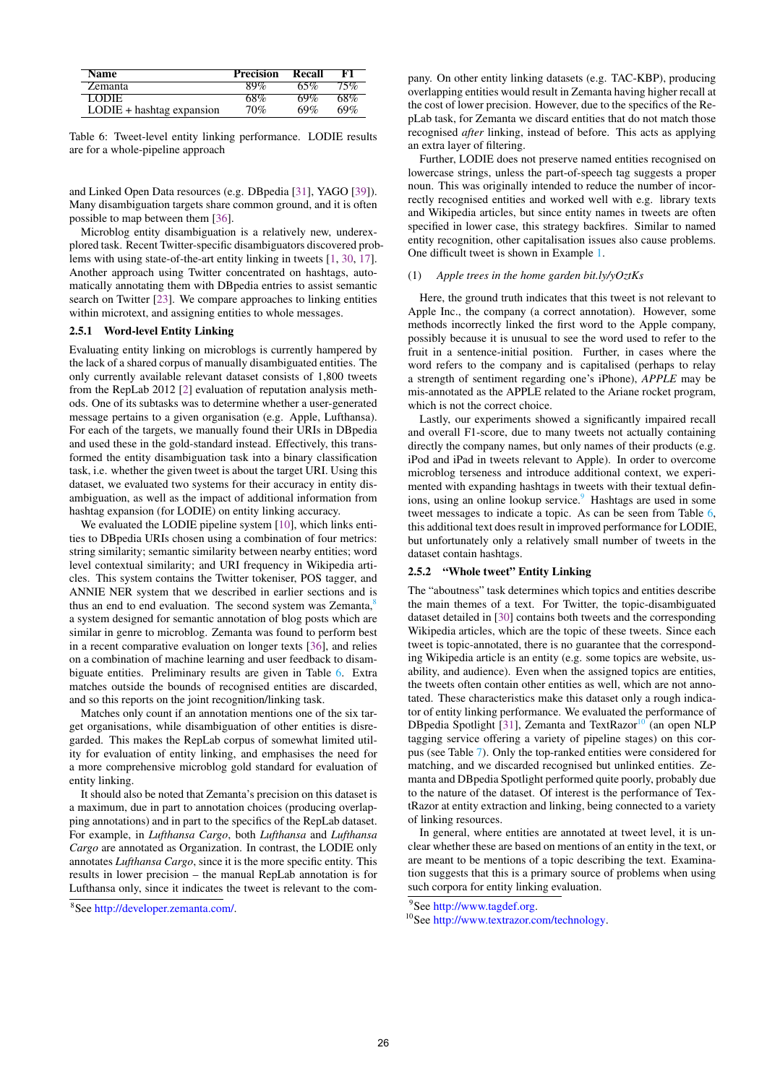<span id="page-5-1"></span>

| <b>Name</b>                 | <b>Precision</b> | Recall | F1     |
|-----------------------------|------------------|--------|--------|
| <b>Zemanta</b>              | 89%              | 65%    | $75\%$ |
| <b>LODIE</b>                | 68%              | 69%    | $68\%$ |
| $LODIE + hashtag expansion$ | 70%              | 69%    | 69%    |

Table 6: Tweet-level entity linking performance. LODIE results are for a whole-pipeline approach

and Linked Open Data resources (e.g. DBpedia [\[31\]](#page-9-26), YAGO [\[39\]](#page-9-27)). Many disambiguation targets share common ground, and it is often possible to map between them [\[36\]](#page-9-28).

Microblog entity disambiguation is a relatively new, underexplored task. Recent Twitter-specific disambiguators discovered problems with using state-of-the-art entity linking in tweets [\[1,](#page-8-2) [30,](#page-9-8) [17\]](#page-9-29). Another approach using Twitter concentrated on hashtags, automatically annotating them with DBpedia entries to assist semantic search on Twitter [\[23\]](#page-9-30). We compare approaches to linking entities within microtext, and assigning entities to whole messages.

#### 2.5.1 Word-level Entity Linking

Evaluating entity linking on microblogs is currently hampered by the lack of a shared corpus of manually disambiguated entities. The only currently available relevant dataset consists of 1,800 tweets from the RepLab 2012 [\[2\]](#page-8-3) evaluation of reputation analysis methods. One of its subtasks was to determine whether a user-generated message pertains to a given organisation (e.g. Apple, Lufthansa). For each of the targets, we manually found their URIs in DBpedia and used these in the gold-standard instead. Effectively, this transformed the entity disambiguation task into a binary classification task, i.e. whether the given tweet is about the target URI. Using this dataset, we evaluated two systems for their accuracy in entity disambiguation, as well as the impact of additional information from hashtag expansion (for LODIE) on entity linking accuracy.

We evaluated the LODIE pipeline system [\[10\]](#page-9-31), which links entities to DBpedia URIs chosen using a combination of four metrics: string similarity; semantic similarity between nearby entities; word level contextual similarity; and URI frequency in Wikipedia articles. This system contains the Twitter tokeniser, POS tagger, and ANNIE NER system that we described in earlier sections and is thus an end to end evaluation. The second system was  $Zemanta$ , a system designed for semantic annotation of blog posts which are similar in genre to microblog. Zemanta was found to perform best in a recent comparative evaluation on longer texts [\[36\]](#page-9-28), and relies on a combination of machine learning and user feedback to disambiguate entities. Preliminary results are given in Table [6.](#page-5-1) Extra matches outside the bounds of recognised entities are discarded, and so this reports on the joint recognition/linking task.

Matches only count if an annotation mentions one of the six target organisations, while disambiguation of other entities is disregarded. This makes the RepLab corpus of somewhat limited utility for evaluation of entity linking, and emphasises the need for a more comprehensive microblog gold standard for evaluation of entity linking.

It should also be noted that Zemanta's precision on this dataset is a maximum, due in part to annotation choices (producing overlapping annotations) and in part to the specifics of the RepLab dataset. For example, in *Lufthansa Cargo*, both *Lufthansa* and *Lufthansa Cargo* are annotated as Organization. In contrast, the LODIE only annotates *Lufthansa Cargo*, since it is the more specific entity. This results in lower precision – the manual RepLab annotation is for Lufthansa only, since it indicates the tweet is relevant to the com-

pany. On other entity linking datasets (e.g. TAC-KBP), producing overlapping entities would result in Zemanta having higher recall at the cost of lower precision. However, due to the specifics of the RepLab task, for Zemanta we discard entities that do not match those recognised *after* linking, instead of before. This acts as applying an extra layer of filtering.

Further, LODIE does not preserve named entities recognised on lowercase strings, unless the part-of-speech tag suggests a proper noun. This was originally intended to reduce the number of incorrectly recognised entities and worked well with e.g. library texts and Wikipedia articles, but since entity names in tweets are often specified in lower case, this strategy backfires. Similar to named entity recognition, other capitalisation issues also cause problems. One difficult tweet is shown in Example [1.](#page-5-2)

#### <span id="page-5-2"></span>(1) *Apple trees in the home garden bit.ly/yOztKs*

Here, the ground truth indicates that this tweet is not relevant to Apple Inc., the company (a correct annotation). However, some methods incorrectly linked the first word to the Apple company, possibly because it is unusual to see the word used to refer to the fruit in a sentence-initial position. Further, in cases where the word refers to the company and is capitalised (perhaps to relay a strength of sentiment regarding one's iPhone), *APPLE* may be mis-annotated as the APPLE related to the Ariane rocket program, which is not the correct choice.

Lastly, our experiments showed a significantly impaired recall and overall F1-score, due to many tweets not actually containing directly the company names, but only names of their products (e.g. iPod and iPad in tweets relevant to Apple). In order to overcome microblog terseness and introduce additional context, we experimented with expanding hashtags in tweets with their textual defin-ions, using an online lookup service.<sup>[9](#page-5-3)</sup> Hashtags are used in some tweet messages to indicate a topic. As can be seen from Table [6,](#page-5-1) this additional text does result in improved performance for LODIE, but unfortunately only a relatively small number of tweets in the dataset contain hashtags.

#### 2.5.2 "Whole tweet" Entity Linking

The "aboutness" task determines which topics and entities describe the main themes of a text. For Twitter, the topic-disambiguated dataset detailed in [\[30\]](#page-9-8) contains both tweets and the corresponding Wikipedia articles, which are the topic of these tweets. Since each tweet is topic-annotated, there is no guarantee that the corresponding Wikipedia article is an entity (e.g. some topics are website, usability, and audience). Even when the assigned topics are entities, the tweets often contain other entities as well, which are not annotated. These characteristics make this dataset only a rough indicator of entity linking performance. We evaluated the performance of DBpedia Spotlight [\[31\]](#page-9-26), Zemanta and TextRazor<sup>[10](#page-5-4)</sup> (an open NLP tagging service offering a variety of pipeline stages) on this corpus (see Table [7\)](#page-6-1). Only the top-ranked entities were considered for matching, and we discarded recognised but unlinked entities. Zemanta and DBpedia Spotlight performed quite poorly, probably due to the nature of the dataset. Of interest is the performance of TextRazor at entity extraction and linking, being connected to a variety of linking resources.

In general, where entities are annotated at tweet level, it is unclear whether these are based on mentions of an entity in the text, or are meant to be mentions of a topic describing the text. Examination suggests that this is a primary source of problems when using such corpora for entity linking evaluation.

<span id="page-5-0"></span><sup>8</sup> See [http://developer.zemanta.com/.](http://developer.zemanta.com/)

<span id="page-5-3"></span><sup>9</sup> See [http://www.tagdef.org.](http://www.tagdef.org)

<span id="page-5-4"></span><sup>&</sup>lt;sup>10</sup>See [http://www.textrazor.com/technology.](http://www.textrazor.com/technology)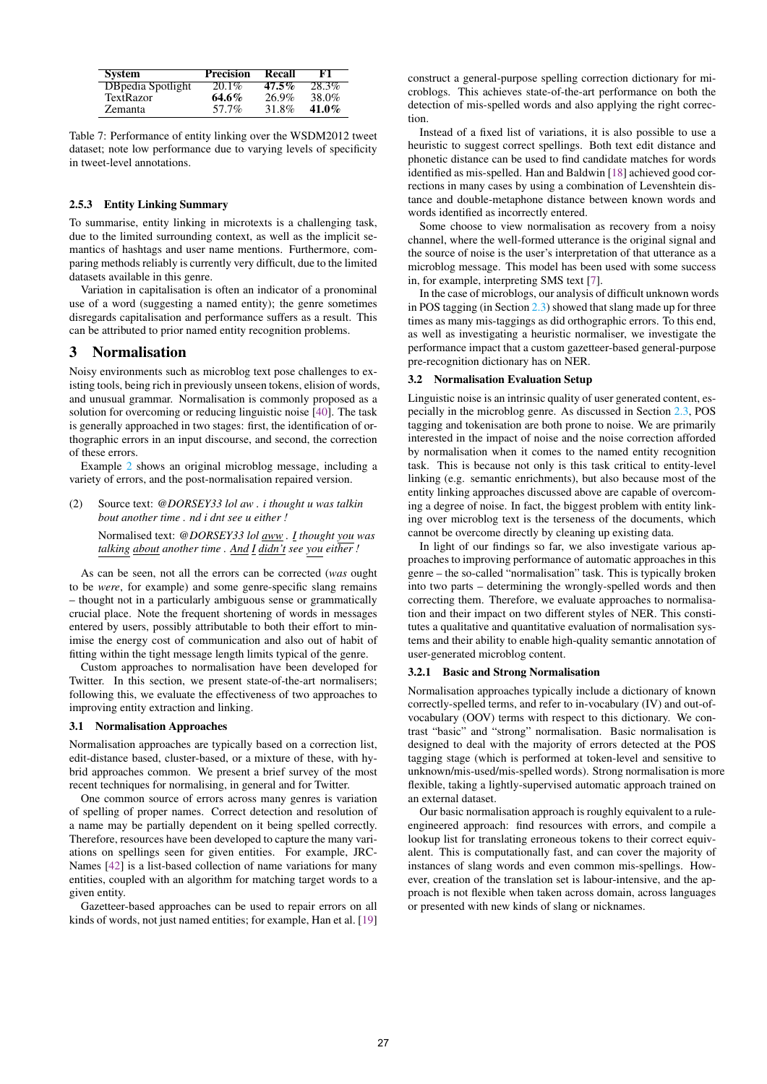<span id="page-6-1"></span>

| <b>System</b>      | <b>Precision</b> | Recall   | F1.      |
|--------------------|------------------|----------|----------|
| DB pedia Spotlight | $20.1\%$         | $47.5\%$ | 28.3%    |
| TextRazor          | $64.6\%$         | 26.9%    | 38.0%    |
| Zemanta            | 57.7%            | 31.8%    | $41.0\%$ |

Table 7: Performance of entity linking over the WSDM2012 tweet dataset; note low performance due to varying levels of specificity in tweet-level annotations.

## 2.5.3 Entity Linking Summary

To summarise, entity linking in microtexts is a challenging task, due to the limited surrounding context, as well as the implicit semantics of hashtags and user name mentions. Furthermore, comparing methods reliably is currently very difficult, due to the limited datasets available in this genre.

Variation in capitalisation is often an indicator of a pronominal use of a word (suggesting a named entity); the genre sometimes disregards capitalisation and performance suffers as a result. This can be attributed to prior named entity recognition problems.

# <span id="page-6-0"></span>3 Normalisation

Noisy environments such as microblog text pose challenges to existing tools, being rich in previously unseen tokens, elision of words, and unusual grammar. Normalisation is commonly proposed as a solution for overcoming or reducing linguistic noise [\[40\]](#page-9-32). The task is generally approached in two stages: first, the identification of orthographic errors in an input discourse, and second, the correction of these errors.

Example [2](#page-6-2) shows an original microblog message, including a variety of errors, and the post-normalisation repaired version.

<span id="page-6-2"></span>(2) Source text: *@DORSEY33 lol aw . i thought u was talkin bout another time . nd i dnt see u either !*

Normalised text: *@DORSEY33 lol aww . I thought you was talking about another time . And I didn't see you either !*

As can be seen, not all the errors can be corrected (*was* ought to be *were*, for example) and some genre-specific slang remains – thought not in a particularly ambiguous sense or grammatically crucial place. Note the frequent shortening of words in messages entered by users, possibly attributable to both their effort to minimise the energy cost of communication and also out of habit of fitting within the tight message length limits typical of the genre.

Custom approaches to normalisation have been developed for Twitter. In this section, we present state-of-the-art normalisers; following this, we evaluate the effectiveness of two approaches to improving entity extraction and linking.

## 3.1 Normalisation Approaches

Normalisation approaches are typically based on a correction list, edit-distance based, cluster-based, or a mixture of these, with hybrid approaches common. We present a brief survey of the most recent techniques for normalising, in general and for Twitter.

One common source of errors across many genres is variation of spelling of proper names. Correct detection and resolution of a name may be partially dependent on it being spelled correctly. Therefore, resources have been developed to capture the many variations on spellings seen for given entities. For example, JRC-Names [\[42\]](#page-9-33) is a list-based collection of name variations for many entities, coupled with an algorithm for matching target words to a given entity.

Gazetteer-based approaches can be used to repair errors on all kinds of words, not just named entities; for example, Han et al. [\[19\]](#page-9-34) construct a general-purpose spelling correction dictionary for microblogs. This achieves state-of-the-art performance on both the detection of mis-spelled words and also applying the right correction.

Instead of a fixed list of variations, it is also possible to use a heuristic to suggest correct spellings. Both text edit distance and phonetic distance can be used to find candidate matches for words identified as mis-spelled. Han and Baldwin [\[18\]](#page-9-35) achieved good corrections in many cases by using a combination of Levenshtein distance and double-metaphone distance between known words and words identified as incorrectly entered.

Some choose to view normalisation as recovery from a noisy channel, where the well-formed utterance is the original signal and the source of noise is the user's interpretation of that utterance as a microblog message. This model has been used with some success in, for example, interpreting SMS text [\[7\]](#page-9-36).

In the case of microblogs, our analysis of difficult unknown words in POS tagging (in Section [2.3\)](#page-2-3) showed that slang made up for three times as many mis-taggings as did orthographic errors. To this end, as well as investigating a heuristic normaliser, we investigate the performance impact that a custom gazetteer-based general-purpose pre-recognition dictionary has on NER.

#### 3.2 Normalisation Evaluation Setup

Linguistic noise is an intrinsic quality of user generated content, especially in the microblog genre. As discussed in Section [2.3,](#page-2-3) POS tagging and tokenisation are both prone to noise. We are primarily interested in the impact of noise and the noise correction afforded by normalisation when it comes to the named entity recognition task. This is because not only is this task critical to entity-level linking (e.g. semantic enrichments), but also because most of the entity linking approaches discussed above are capable of overcoming a degree of noise. In fact, the biggest problem with entity linking over microblog text is the terseness of the documents, which cannot be overcome directly by cleaning up existing data.

In light of our findings so far, we also investigate various approaches to improving performance of automatic approaches in this genre – the so-called "normalisation" task. This is typically broken into two parts – determining the wrongly-spelled words and then correcting them. Therefore, we evaluate approaches to normalisation and their impact on two different styles of NER. This constitutes a qualitative and quantitative evaluation of normalisation systems and their ability to enable high-quality semantic annotation of user-generated microblog content.

#### 3.2.1 Basic and Strong Normalisation

Normalisation approaches typically include a dictionary of known correctly-spelled terms, and refer to in-vocabulary (IV) and out-ofvocabulary (OOV) terms with respect to this dictionary. We contrast "basic" and "strong" normalisation. Basic normalisation is designed to deal with the majority of errors detected at the POS tagging stage (which is performed at token-level and sensitive to unknown/mis-used/mis-spelled words). Strong normalisation is more flexible, taking a lightly-supervised automatic approach trained on an external dataset.

Our basic normalisation approach is roughly equivalent to a ruleengineered approach: find resources with errors, and compile a lookup list for translating erroneous tokens to their correct equivalent. This is computationally fast, and can cover the majority of instances of slang words and even common mis-spellings. However, creation of the translation set is labour-intensive, and the approach is not flexible when taken across domain, across languages or presented with new kinds of slang or nicknames.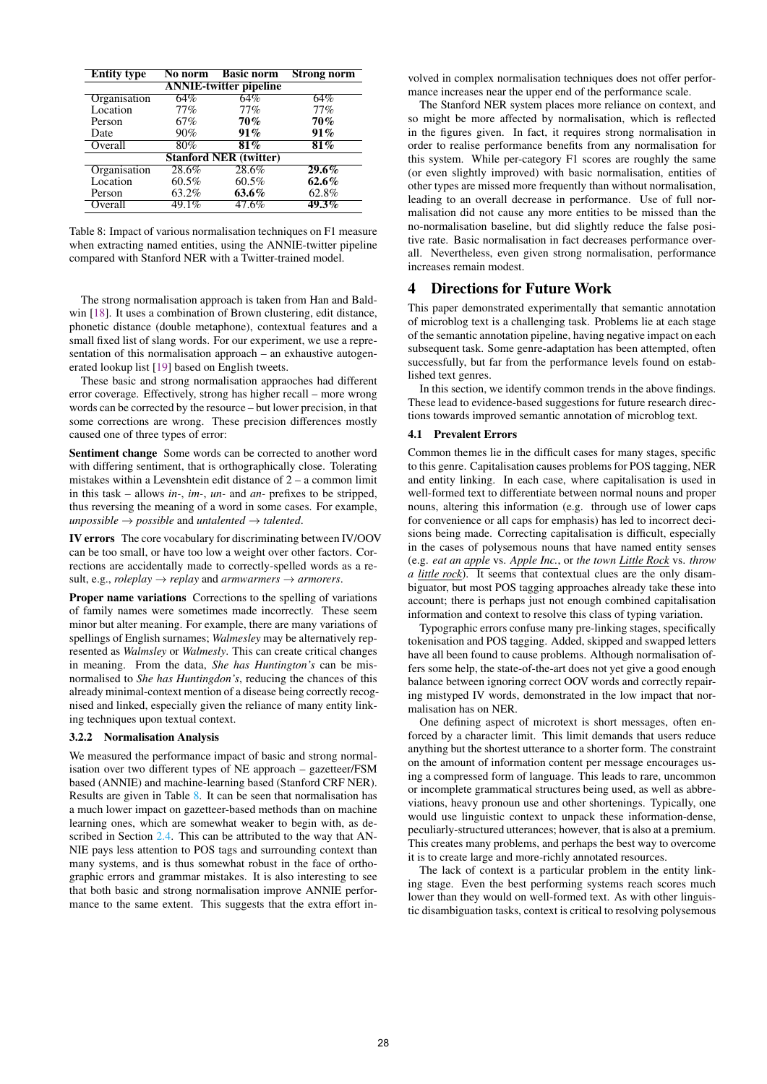<span id="page-7-1"></span>

| <b>Entity type</b>            | No norm  | <b>Basic norm</b> | <b>Strong norm</b> |  |  |
|-------------------------------|----------|-------------------|--------------------|--|--|
| <b>ANNIE-twitter pipeline</b> |          |                   |                    |  |  |
| Organisation                  | $64\%$   | 64%               | 64%                |  |  |
| Location                      | 77%      | 77%               | 77%                |  |  |
| Person                        | 67%      | 70%               | 70%                |  |  |
| Date                          | 90%      | 91%               | 91%                |  |  |
| Overall                       | $80\%$   | $81\%$            | $81\%$             |  |  |
| <b>Stanford NER (twitter)</b> |          |                   |                    |  |  |
| Organisation                  | 28.6%    | 28.6%             | $29.6\%$           |  |  |
| Location                      | $60.5\%$ | $60.5\%$          | $62.6\%$           |  |  |
| Person                        | 63.2%    | 63.6%             | 62.8%              |  |  |
| Overall                       | 49.1%    | 47.6%             | 49.3%              |  |  |

Table 8: Impact of various normalisation techniques on F1 measure when extracting named entities, using the ANNIE-twitter pipeline compared with Stanford NER with a Twitter-trained model.

The strong normalisation approach is taken from Han and Baldwin [\[18\]](#page-9-35). It uses a combination of Brown clustering, edit distance, phonetic distance (double metaphone), contextual features and a small fixed list of slang words. For our experiment, we use a representation of this normalisation approach – an exhaustive autogenerated lookup list [\[19\]](#page-9-34) based on English tweets.

These basic and strong normalisation appraoches had different error coverage. Effectively, strong has higher recall – more wrong words can be corrected by the resource – but lower precision, in that some corrections are wrong. These precision differences mostly caused one of three types of error:

Sentiment change Some words can be corrected to another word with differing sentiment, that is orthographically close. Tolerating mistakes within a Levenshtein edit distance of 2 – a common limit in this task – allows *in-*, *im-*, *un-* and *an-* prefixes to be stripped, thus reversing the meaning of a word in some cases. For example, *unpossible*  $\rightarrow$  *possible* and *untalented*  $\rightarrow$  *talented.* 

IV errors The core vocabulary for discriminating between IV/OOV can be too small, or have too low a weight over other factors. Corrections are accidentally made to correctly-spelled words as a result, e.g., *roleplay*  $\rightarrow$  *replay* and *armwarmers*  $\rightarrow$  *armorers.* 

Proper name variations Corrections to the spelling of variations of family names were sometimes made incorrectly. These seem minor but alter meaning. For example, there are many variations of spellings of English surnames; *Walmesley* may be alternatively represented as *Walmsley* or *Walmesly*. This can create critical changes in meaning. From the data, *She has Huntington's* can be misnormalised to *She has Huntingdon's*, reducing the chances of this already minimal-context mention of a disease being correctly recognised and linked, especially given the reliance of many entity linking techniques upon textual context.

#### 3.2.2 Normalisation Analysis

We measured the performance impact of basic and strong normalisation over two different types of NE approach – gazetteer/FSM based (ANNIE) and machine-learning based (Stanford CRF NER). Results are given in Table [8.](#page-7-1) It can be seen that normalisation has a much lower impact on gazetteer-based methods than on machine learning ones, which are somewhat weaker to begin with, as described in Section [2.4.](#page-3-3) This can be attributed to the way that AN-NIE pays less attention to POS tags and surrounding context than many systems, and is thus somewhat robust in the face of orthographic errors and grammar mistakes. It is also interesting to see that both basic and strong normalisation improve ANNIE performance to the same extent. This suggests that the extra effort in-

volved in complex normalisation techniques does not offer performance increases near the upper end of the performance scale.

The Stanford NER system places more reliance on context, and so might be more affected by normalisation, which is reflected in the figures given. In fact, it requires strong normalisation in order to realise performance benefits from any normalisation for this system. While per-category F1 scores are roughly the same (or even slightly improved) with basic normalisation, entities of other types are missed more frequently than without normalisation, leading to an overall decrease in performance. Use of full normalisation did not cause any more entities to be missed than the no-normalisation baseline, but did slightly reduce the false positive rate. Basic normalisation in fact decreases performance overall. Nevertheless, even given strong normalisation, performance increases remain modest.

# <span id="page-7-0"></span>4 Directions for Future Work

This paper demonstrated experimentally that semantic annotation of microblog text is a challenging task. Problems lie at each stage of the semantic annotation pipeline, having negative impact on each subsequent task. Some genre-adaptation has been attempted, often successfully, but far from the performance levels found on established text genres.

In this section, we identify common trends in the above findings. These lead to evidence-based suggestions for future research directions towards improved semantic annotation of microblog text.

## 4.1 Prevalent Errors

Common themes lie in the difficult cases for many stages, specific to this genre. Capitalisation causes problems for POS tagging, NER and entity linking. In each case, where capitalisation is used in well-formed text to differentiate between normal nouns and proper nouns, altering this information (e.g. through use of lower caps for convenience or all caps for emphasis) has led to incorrect decisions being made. Correcting capitalisation is difficult, especially in the cases of polysemous nouns that have named entity senses (e.g. *eat an apple* vs. *Apple Inc.*, or *the town Little Rock* vs. *throw a little rock*). It seems that contextual clues are the only disambiguator, but most POS tagging approaches already take these into account; there is perhaps just not enough combined capitalisation information and context to resolve this class of typing variation.

Typographic errors confuse many pre-linking stages, specifically tokenisation and POS tagging. Added, skipped and swapped letters have all been found to cause problems. Although normalisation offers some help, the state-of-the-art does not yet give a good enough balance between ignoring correct OOV words and correctly repairing mistyped IV words, demonstrated in the low impact that normalisation has on NER.

One defining aspect of microtext is short messages, often enforced by a character limit. This limit demands that users reduce anything but the shortest utterance to a shorter form. The constraint on the amount of information content per message encourages using a compressed form of language. This leads to rare, uncommon or incomplete grammatical structures being used, as well as abbreviations, heavy pronoun use and other shortenings. Typically, one would use linguistic context to unpack these information-dense, peculiarly-structured utterances; however, that is also at a premium. This creates many problems, and perhaps the best way to overcome it is to create large and more-richly annotated resources.

The lack of context is a particular problem in the entity linking stage. Even the best performing systems reach scores much lower than they would on well-formed text. As with other linguistic disambiguation tasks, context is critical to resolving polysemous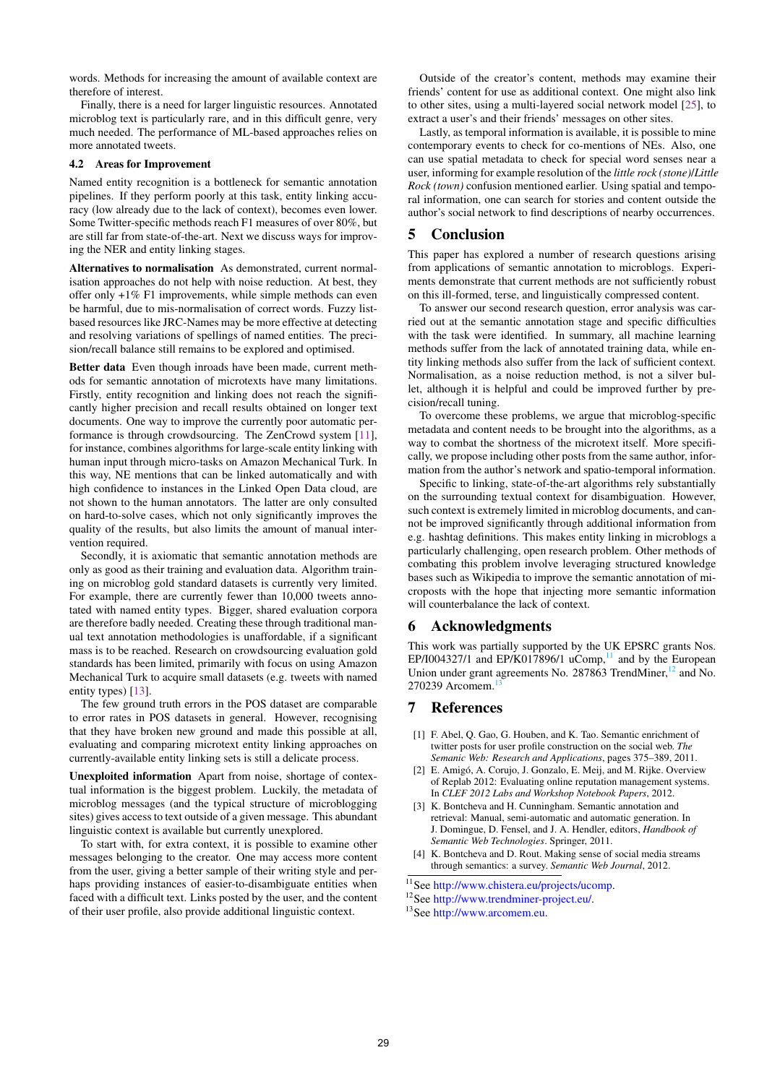words. Methods for increasing the amount of available context are therefore of interest.

Finally, there is a need for larger linguistic resources. Annotated microblog text is particularly rare, and in this difficult genre, very much needed. The performance of ML-based approaches relies on more annotated tweets.

#### 4.2 Areas for Improvement

Named entity recognition is a bottleneck for semantic annotation pipelines. If they perform poorly at this task, entity linking accuracy (low already due to the lack of context), becomes even lower. Some Twitter-specific methods reach F1 measures of over 80%, but are still far from state-of-the-art. Next we discuss ways for improving the NER and entity linking stages.

Alternatives to normalisation As demonstrated, current normalisation approaches do not help with noise reduction. At best, they offer only +1% F1 improvements, while simple methods can even be harmful, due to mis-normalisation of correct words. Fuzzy listbased resources like JRC-Names may be more effective at detecting and resolving variations of spellings of named entities. The precision/recall balance still remains to be explored and optimised.

Better data Even though inroads have been made, current methods for semantic annotation of microtexts have many limitations. Firstly, entity recognition and linking does not reach the significantly higher precision and recall results obtained on longer text documents. One way to improve the currently poor automatic performance is through crowdsourcing. The ZenCrowd system [\[11\]](#page-9-37), for instance, combines algorithms for large-scale entity linking with human input through micro-tasks on Amazon Mechanical Turk. In this way, NE mentions that can be linked automatically and with high confidence to instances in the Linked Open Data cloud, are not shown to the human annotators. The latter are only consulted on hard-to-solve cases, which not only significantly improves the quality of the results, but also limits the amount of manual intervention required.

Secondly, it is axiomatic that semantic annotation methods are only as good as their training and evaluation data. Algorithm training on microblog gold standard datasets is currently very limited. For example, there are currently fewer than 10,000 tweets annotated with named entity types. Bigger, shared evaluation corpora are therefore badly needed. Creating these through traditional manual text annotation methodologies is unaffordable, if a significant mass is to be reached. Research on crowdsourcing evaluation gold standards has been limited, primarily with focus on using Amazon Mechanical Turk to acquire small datasets (e.g. tweets with named entity types) [\[13\]](#page-9-38).

The few ground truth errors in the POS dataset are comparable to error rates in POS datasets in general. However, recognising that they have broken new ground and made this possible at all, evaluating and comparing microtext entity linking approaches on currently-available entity linking sets is still a delicate process.

Unexploited information Apart from noise, shortage of contextual information is the biggest problem. Luckily, the metadata of microblog messages (and the typical structure of microblogging sites) gives access to text outside of a given message. This abundant linguistic context is available but currently unexplored.

To start with, for extra context, it is possible to examine other messages belonging to the creator. One may access more content from the user, giving a better sample of their writing style and perhaps providing instances of easier-to-disambiguate entities when faced with a difficult text. Links posted by the user, and the content of their user profile, also provide additional linguistic context.

Outside of the creator's content, methods may examine their friends' content for use as additional context. One might also link to other sites, using a multi-layered social network model [\[25\]](#page-9-39), to extract a user's and their friends' messages on other sites.

Lastly, as temporal information is available, it is possible to mine contemporary events to check for co-mentions of NEs. Also, one can use spatial metadata to check for special word senses near a user, informing for example resolution of the *little rock (stone)*/*Little Rock (town)* confusion mentioned earlier. Using spatial and temporal information, one can search for stories and content outside the author's social network to find descriptions of nearby occurrences.

# 5 Conclusion

This paper has explored a number of research questions arising from applications of semantic annotation to microblogs. Experiments demonstrate that current methods are not sufficiently robust on this ill-formed, terse, and linguistically compressed content.

To answer our second research question, error analysis was carried out at the semantic annotation stage and specific difficulties with the task were identified. In summary, all machine learning methods suffer from the lack of annotated training data, while entity linking methods also suffer from the lack of sufficient context. Normalisation, as a noise reduction method, is not a silver bullet, although it is helpful and could be improved further by precision/recall tuning.

To overcome these problems, we argue that microblog-specific metadata and content needs to be brought into the algorithms, as a way to combat the shortness of the microtext itself. More specifically, we propose including other posts from the same author, information from the author's network and spatio-temporal information.

Specific to linking, state-of-the-art algorithms rely substantially on the surrounding textual context for disambiguation. However, such context is extremely limited in microblog documents, and cannot be improved significantly through additional information from e.g. hashtag definitions. This makes entity linking in microblogs a particularly challenging, open research problem. Other methods of combating this problem involve leveraging structured knowledge bases such as Wikipedia to improve the semantic annotation of microposts with the hope that injecting more semantic information will counterbalance the lack of context.

# 6 Acknowledgments

This work was partially supported by the UK EPSRC grants Nos. EP/I004327/1 and EP/K017896/1 uComp,<sup>[11](#page-8-4)</sup> and by the European Union under grant agreements No. 287863 TrendMiner, $^{12}$  $^{12}$  $^{12}$  and No. 270239 Arcomem.

# 7 References

- <span id="page-8-2"></span>[1] F. Abel, Q. Gao, G. Houben, and K. Tao. Semantic enrichment of twitter posts for user profile construction on the social web. *The Semanic Web: Research and Applications*, pages 375–389, 2011.
- <span id="page-8-3"></span>[2] E. Amigó, A. Corujo, J. Gonzalo, E. Meij, and M. Rijke. Overview of Replab 2012: Evaluating online reputation management systems. In *CLEF 2012 Labs and Workshop Notebook Papers*, 2012.
- <span id="page-8-0"></span>[3] K. Bontcheva and H. Cunningham. Semantic annotation and retrieval: Manual, semi-automatic and automatic generation. In J. Domingue, D. Fensel, and J. A. Hendler, editors, *Handbook of Semantic Web Technologies*. Springer, 2011.
- <span id="page-8-1"></span>[4] K. Bontcheva and D. Rout. Making sense of social media streams through semantics: a survey. *Semantic Web Journal*, 2012.

<span id="page-8-4"></span><sup>11</sup>See [http://www.chistera.eu/projects/ucomp.](http://www.chistera.eu/projects/ucomp)

<span id="page-8-5"></span><sup>12</sup>See [http://www.trendminer-project.eu/.](http://www.trendminer-project.eu/)

<span id="page-8-6"></span><sup>13</sup>See [http://www.arcomem.eu.](http://www.arcomem.eu)